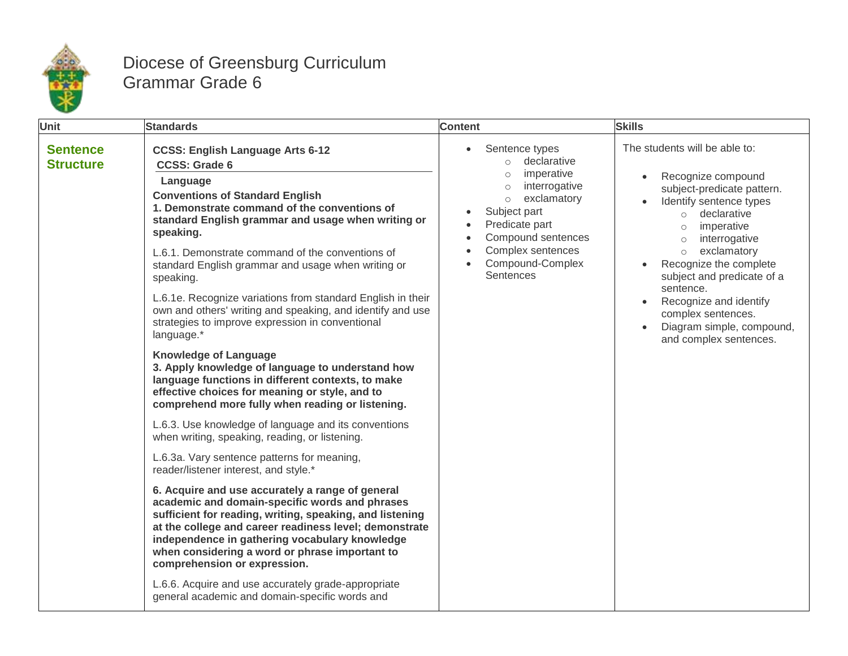

## Diocese of Greensburg Curriculum Grammar Grade 6

| Unit                                | <b>Standards</b>                                                                                                                                                                                                                                                                                                                                             | <b>Content</b>                                                                                                                                                                                                                                                                                                | <b>Skills</b>                                                                                                                                                                                                                                                                                                                                                                                                               |
|-------------------------------------|--------------------------------------------------------------------------------------------------------------------------------------------------------------------------------------------------------------------------------------------------------------------------------------------------------------------------------------------------------------|---------------------------------------------------------------------------------------------------------------------------------------------------------------------------------------------------------------------------------------------------------------------------------------------------------------|-----------------------------------------------------------------------------------------------------------------------------------------------------------------------------------------------------------------------------------------------------------------------------------------------------------------------------------------------------------------------------------------------------------------------------|
| <b>Sentence</b><br><b>Structure</b> | <b>CCSS: English Language Arts 6-12</b><br><b>CCSS: Grade 6</b><br>Language<br><b>Conventions of Standard English</b><br>1. Demonstrate command of the conventions of<br>standard English grammar and usage when writing or<br>speaking.                                                                                                                     | Sentence types<br>$\bullet$<br>declarative<br>$\circ$<br>imperative<br>$\circ$<br>interrogative<br>$\circ$<br>exclamatory<br>$\circ$<br>Subject part<br>$\bullet$<br>Predicate part<br>Compound sentences<br>$\bullet$<br>Complex sentences<br>$\bullet$<br>Compound-Complex<br>$\bullet$<br><b>Sentences</b> | The students will be able to:<br>Recognize compound<br>$\bullet$<br>subject-predicate pattern.<br>Identify sentence types<br>declarative<br>$\circ$<br>imperative<br>$\circ$<br>interrogative<br>$\circ$<br>exclamatory<br>$\circ$<br>Recognize the complete<br>subject and predicate of a<br>sentence.<br>Recognize and identify<br>$\bullet$<br>complex sentences.<br>Diagram simple, compound,<br>and complex sentences. |
|                                     | L.6.1. Demonstrate command of the conventions of<br>standard English grammar and usage when writing or<br>speaking.                                                                                                                                                                                                                                          |                                                                                                                                                                                                                                                                                                               |                                                                                                                                                                                                                                                                                                                                                                                                                             |
|                                     | L.6.1e. Recognize variations from standard English in their<br>own and others' writing and speaking, and identify and use<br>strategies to improve expression in conventional<br>language.*                                                                                                                                                                  |                                                                                                                                                                                                                                                                                                               |                                                                                                                                                                                                                                                                                                                                                                                                                             |
|                                     | <b>Knowledge of Language</b><br>3. Apply knowledge of language to understand how<br>language functions in different contexts, to make<br>effective choices for meaning or style, and to<br>comprehend more fully when reading or listening.                                                                                                                  |                                                                                                                                                                                                                                                                                                               |                                                                                                                                                                                                                                                                                                                                                                                                                             |
|                                     | L.6.3. Use knowledge of language and its conventions<br>when writing, speaking, reading, or listening.                                                                                                                                                                                                                                                       |                                                                                                                                                                                                                                                                                                               |                                                                                                                                                                                                                                                                                                                                                                                                                             |
|                                     | L.6.3a. Vary sentence patterns for meaning,<br>reader/listener interest, and style.*                                                                                                                                                                                                                                                                         |                                                                                                                                                                                                                                                                                                               |                                                                                                                                                                                                                                                                                                                                                                                                                             |
|                                     | 6. Acquire and use accurately a range of general<br>academic and domain-specific words and phrases<br>sufficient for reading, writing, speaking, and listening<br>at the college and career readiness level; demonstrate<br>independence in gathering vocabulary knowledge<br>when considering a word or phrase important to<br>comprehension or expression. |                                                                                                                                                                                                                                                                                                               |                                                                                                                                                                                                                                                                                                                                                                                                                             |
|                                     | L.6.6. Acquire and use accurately grade-appropriate<br>general academic and domain-specific words and                                                                                                                                                                                                                                                        |                                                                                                                                                                                                                                                                                                               |                                                                                                                                                                                                                                                                                                                                                                                                                             |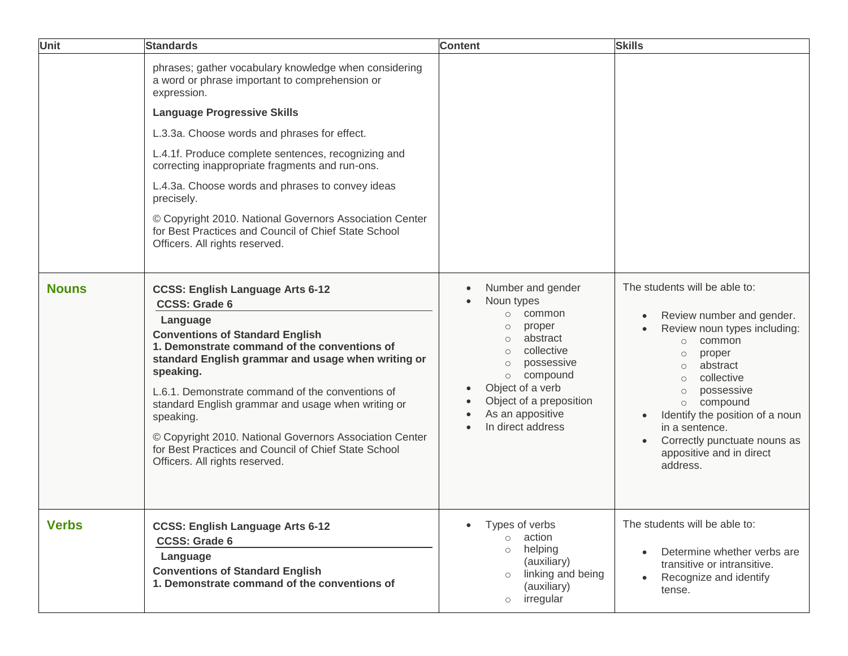| Unit         | <b>Standards</b>                                                                                                                                                                                                                                                                                                                                                                                                                                                                                                                              | <b>Content</b>                                                                                                                                                                                                                                                    | <b>Skills</b>                                                                                                                                                                                                                                                                                                                                                        |
|--------------|-----------------------------------------------------------------------------------------------------------------------------------------------------------------------------------------------------------------------------------------------------------------------------------------------------------------------------------------------------------------------------------------------------------------------------------------------------------------------------------------------------------------------------------------------|-------------------------------------------------------------------------------------------------------------------------------------------------------------------------------------------------------------------------------------------------------------------|----------------------------------------------------------------------------------------------------------------------------------------------------------------------------------------------------------------------------------------------------------------------------------------------------------------------------------------------------------------------|
|              | phrases; gather vocabulary knowledge when considering<br>a word or phrase important to comprehension or<br>expression.<br><b>Language Progressive Skills</b><br>L.3.3a. Choose words and phrases for effect.<br>L.4.1f. Produce complete sentences, recognizing and<br>correcting inappropriate fragments and run-ons.<br>L.4.3a. Choose words and phrases to convey ideas<br>precisely.<br>© Copyright 2010. National Governors Association Center<br>for Best Practices and Council of Chief State School<br>Officers. All rights reserved. |                                                                                                                                                                                                                                                                   |                                                                                                                                                                                                                                                                                                                                                                      |
| <b>Nouns</b> | <b>CCSS: English Language Arts 6-12</b><br><b>CCSS: Grade 6</b><br>Language<br><b>Conventions of Standard English</b><br>1. Demonstrate command of the conventions of<br>standard English grammar and usage when writing or<br>speaking.<br>L.6.1. Demonstrate command of the conventions of<br>standard English grammar and usage when writing or<br>speaking.<br>© Copyright 2010. National Governors Association Center<br>for Best Practices and Council of Chief State School<br>Officers. All rights reserved.                          | Number and gender<br>Noun types<br>common<br>$\circ$<br>proper<br>$\circ$<br>abstract<br>$\circ$<br>collective<br>$\circ$<br>possessive<br>$\circ$<br>compound<br>$\circ$<br>Object of a verb<br>Object of a preposition<br>As an appositive<br>In direct address | The students will be able to:<br>Review number and gender.<br>Review noun types including:<br>common<br>$\bigcirc$<br>proper<br>$\circ$<br>abstract<br>$\circ$<br>collective<br>$\circ$<br>possessive<br>$\circ$<br>compound<br>$\circ$<br>Identify the position of a noun<br>in a sentence.<br>Correctly punctuate nouns as<br>appositive and in direct<br>address. |
| <b>Verbs</b> | <b>CCSS: English Language Arts 6-12</b><br><b>CCSS: Grade 6</b><br>Language<br><b>Conventions of Standard English</b><br>1. Demonstrate command of the conventions of                                                                                                                                                                                                                                                                                                                                                                         | Types of verbs<br>action<br>$\circ$<br>helping<br>$\circ$<br>(auxiliary)<br>linking and being<br>$\circ$<br>(auxiliary)<br>irregular<br>$\circlearrowright$                                                                                                       | The students will be able to:<br>Determine whether verbs are<br>transitive or intransitive.<br>Recognize and identify<br>tense.                                                                                                                                                                                                                                      |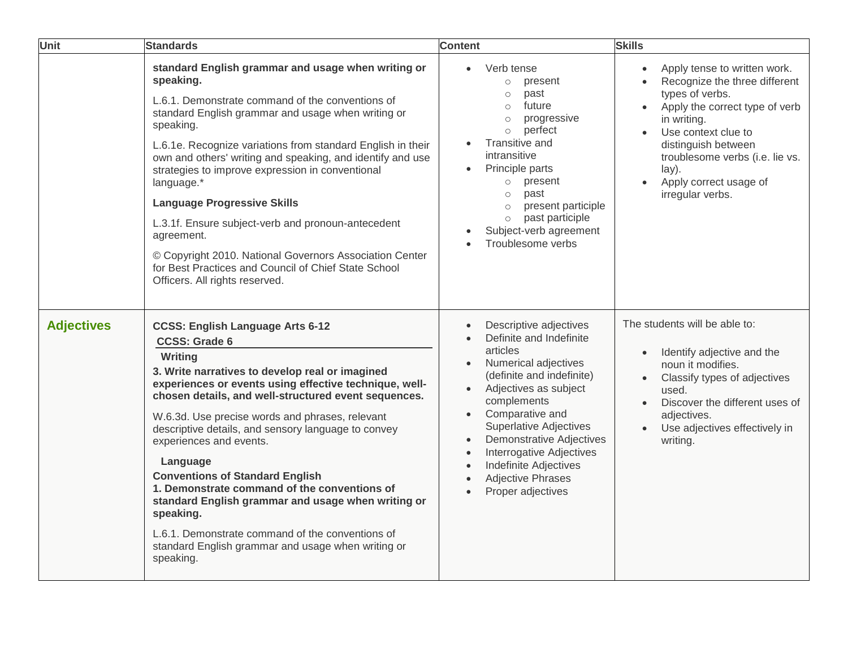| <b>Unit</b>       | <b>Standards</b>                                                                                                                                                                                                                                                                                                                                                                                                                                                                                                                                                                                                                                                                     | <b>Content</b>                                                                                                                                                                                                                                                                                                                                                                                                     | <b>Skills</b>                                                                                                                                                                                                                                                                                       |
|-------------------|--------------------------------------------------------------------------------------------------------------------------------------------------------------------------------------------------------------------------------------------------------------------------------------------------------------------------------------------------------------------------------------------------------------------------------------------------------------------------------------------------------------------------------------------------------------------------------------------------------------------------------------------------------------------------------------|--------------------------------------------------------------------------------------------------------------------------------------------------------------------------------------------------------------------------------------------------------------------------------------------------------------------------------------------------------------------------------------------------------------------|-----------------------------------------------------------------------------------------------------------------------------------------------------------------------------------------------------------------------------------------------------------------------------------------------------|
|                   | standard English grammar and usage when writing or<br>speaking.<br>L.6.1. Demonstrate command of the conventions of<br>standard English grammar and usage when writing or<br>speaking.<br>L.6.1e. Recognize variations from standard English in their<br>own and others' writing and speaking, and identify and use<br>strategies to improve expression in conventional<br>language.*<br><b>Language Progressive Skills</b><br>L.3.1f. Ensure subject-verb and pronoun-antecedent<br>agreement.<br>© Copyright 2010. National Governors Association Center<br>for Best Practices and Council of Chief State School<br>Officers. All rights reserved.                                 | Verb tense<br>present<br>$\circ$<br>past<br>$\circ$<br>future<br>$\circ$<br>progressive<br>$\circ$<br>perfect<br>$\circ$<br>Transitive and<br>intransitive<br>Principle parts<br>present<br>$\circ$<br>past<br>$\circ$<br>present participle<br>$\circ$<br>past participle<br>$\circ$<br>Subject-verb agreement<br>Troublesome verbs                                                                               | Apply tense to written work.<br>$\bullet$<br>Recognize the three different<br>types of verbs.<br>Apply the correct type of verb<br>in writing.<br>Use context clue to<br>$\bullet$<br>distinguish between<br>troublesome verbs (i.e. lie vs.<br>lay).<br>Apply correct usage of<br>irregular verbs. |
| <b>Adjectives</b> | <b>CCSS: English Language Arts 6-12</b><br><b>CCSS: Grade 6</b><br>Writing<br>3. Write narratives to develop real or imagined<br>experiences or events using effective technique, well-<br>chosen details, and well-structured event sequences.<br>W.6.3d. Use precise words and phrases, relevant<br>descriptive details, and sensory language to convey<br>experiences and events.<br>Language<br><b>Conventions of Standard English</b><br>1. Demonstrate command of the conventions of<br>standard English grammar and usage when writing or<br>speaking.<br>L.6.1. Demonstrate command of the conventions of<br>standard English grammar and usage when writing or<br>speaking. | Descriptive adjectives<br>Definite and Indefinite<br>articles<br>Numerical adjectives<br>$\bullet$<br>(definite and indefinite)<br>Adjectives as subject<br>complements<br>Comparative and<br>Superlative Adjectives<br><b>Demonstrative Adjectives</b><br>$\bullet$<br><b>Interrogative Adjectives</b><br>$\bullet$<br><b>Indefinite Adjectives</b><br>$\bullet$<br><b>Adjective Phrases</b><br>Proper adjectives | The students will be able to:<br>Identify adjective and the<br>$\bullet$<br>noun it modifies.<br>Classify types of adjectives<br>used.<br>Discover the different uses of<br>adjectives.<br>Use adjectives effectively in<br>writing.                                                                |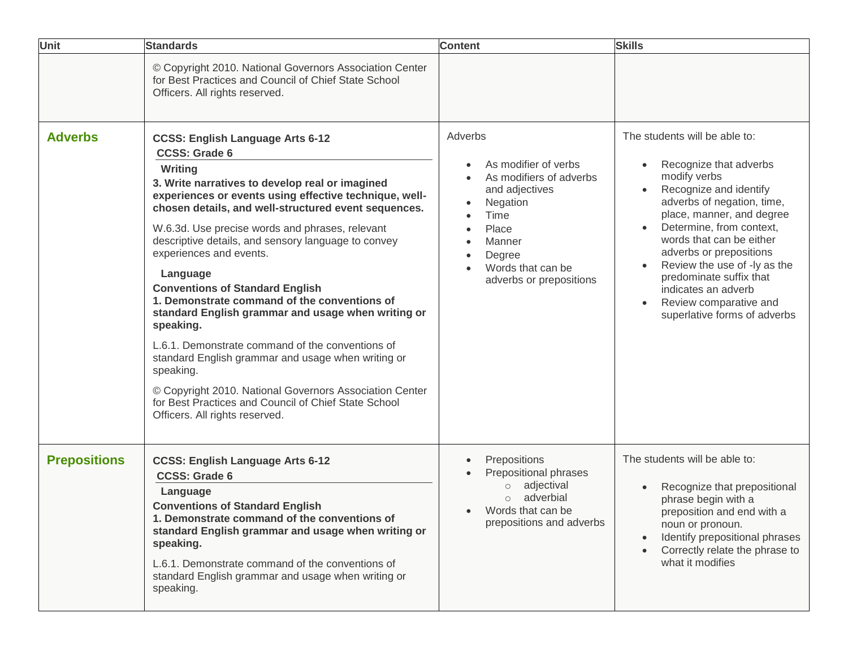| Unit                | <b>Standards</b>                                                                                                                                                                                                                                                                                                                                                                                                                                                                                                                                                                                                                                                                                                                                                                                                                          | <b>Content</b>                                                                                                                                                                             | <b>Skills</b>                                                                                                                                                                                                                                                                                                                                                                                                                                   |
|---------------------|-------------------------------------------------------------------------------------------------------------------------------------------------------------------------------------------------------------------------------------------------------------------------------------------------------------------------------------------------------------------------------------------------------------------------------------------------------------------------------------------------------------------------------------------------------------------------------------------------------------------------------------------------------------------------------------------------------------------------------------------------------------------------------------------------------------------------------------------|--------------------------------------------------------------------------------------------------------------------------------------------------------------------------------------------|-------------------------------------------------------------------------------------------------------------------------------------------------------------------------------------------------------------------------------------------------------------------------------------------------------------------------------------------------------------------------------------------------------------------------------------------------|
|                     | © Copyright 2010. National Governors Association Center<br>for Best Practices and Council of Chief State School<br>Officers. All rights reserved.                                                                                                                                                                                                                                                                                                                                                                                                                                                                                                                                                                                                                                                                                         |                                                                                                                                                                                            |                                                                                                                                                                                                                                                                                                                                                                                                                                                 |
| <b>Adverbs</b>      | <b>CCSS: English Language Arts 6-12</b><br><b>CCSS: Grade 6</b><br>Writing<br>3. Write narratives to develop real or imagined<br>experiences or events using effective technique, well-<br>chosen details, and well-structured event sequences.<br>W.6.3d. Use precise words and phrases, relevant<br>descriptive details, and sensory language to convey<br>experiences and events.<br>Language<br><b>Conventions of Standard English</b><br>1. Demonstrate command of the conventions of<br>standard English grammar and usage when writing or<br>speaking.<br>L.6.1. Demonstrate command of the conventions of<br>standard English grammar and usage when writing or<br>speaking.<br>© Copyright 2010. National Governors Association Center<br>for Best Practices and Council of Chief State School<br>Officers. All rights reserved. | Adverbs<br>As modifier of verbs<br>As modifiers of adverbs<br>and adjectives<br>Negation<br>$\bullet$<br>Time<br>Place<br>Manner<br>Degree<br>Words that can be<br>adverbs or prepositions | The students will be able to:<br>Recognize that adverbs<br>$\bullet$<br>modify verbs<br>Recognize and identify<br>adverbs of negation, time,<br>place, manner, and degree<br>Determine, from context,<br>$\bullet$<br>words that can be either<br>adverbs or prepositions<br>Review the use of -ly as the<br>$\bullet$<br>predominate suffix that<br>indicates an adverb<br>Review comparative and<br>$\bullet$<br>superlative forms of adverbs |
| <b>Prepositions</b> | <b>CCSS: English Language Arts 6-12</b><br><b>CCSS: Grade 6</b><br>Language<br><b>Conventions of Standard English</b><br>1. Demonstrate command of the conventions of<br>standard English grammar and usage when writing or<br>speaking.<br>L.6.1. Demonstrate command of the conventions of<br>standard English grammar and usage when writing or<br>speaking.                                                                                                                                                                                                                                                                                                                                                                                                                                                                           | Prepositions<br>$\bullet$<br>Prepositional phrases<br>adjectival<br>$\circ$<br>adverbial<br>Words that can be<br>prepositions and adverbs                                                  | The students will be able to:<br>Recognize that prepositional<br>$\bullet$<br>phrase begin with a<br>preposition and end with a<br>noun or pronoun.<br>Identify prepositional phrases<br>$\bullet$<br>Correctly relate the phrase to<br>$\bullet$<br>what it modifies                                                                                                                                                                           |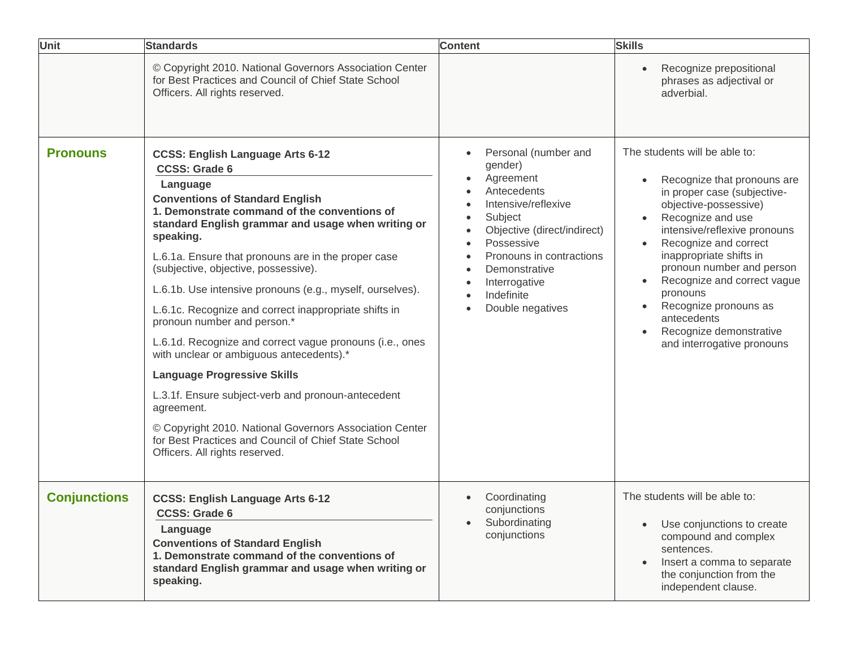| <b>Unit</b>         | <b>Standards</b>                                                                                                                                                                                                                                                                                                                                                                                                                                                                                                                                                                                                                                                                                                                                                                                                                                                    | <b>Content</b>                                                                                                                                                                                                                             | <b>Skills</b>                                                                                                                                                                                                                                                                                                                                                                                                       |
|---------------------|---------------------------------------------------------------------------------------------------------------------------------------------------------------------------------------------------------------------------------------------------------------------------------------------------------------------------------------------------------------------------------------------------------------------------------------------------------------------------------------------------------------------------------------------------------------------------------------------------------------------------------------------------------------------------------------------------------------------------------------------------------------------------------------------------------------------------------------------------------------------|--------------------------------------------------------------------------------------------------------------------------------------------------------------------------------------------------------------------------------------------|---------------------------------------------------------------------------------------------------------------------------------------------------------------------------------------------------------------------------------------------------------------------------------------------------------------------------------------------------------------------------------------------------------------------|
|                     | © Copyright 2010. National Governors Association Center<br>for Best Practices and Council of Chief State School<br>Officers. All rights reserved.                                                                                                                                                                                                                                                                                                                                                                                                                                                                                                                                                                                                                                                                                                                   |                                                                                                                                                                                                                                            | Recognize prepositional<br>phrases as adjectival or<br>adverbial.                                                                                                                                                                                                                                                                                                                                                   |
| <b>Pronouns</b>     | <b>CCSS: English Language Arts 6-12</b><br><b>CCSS: Grade 6</b><br>Language<br><b>Conventions of Standard English</b><br>1. Demonstrate command of the conventions of<br>standard English grammar and usage when writing or<br>speaking.<br>L.6.1a. Ensure that pronouns are in the proper case<br>(subjective, objective, possessive).<br>L.6.1b. Use intensive pronouns (e.g., myself, ourselves).<br>L.6.1c. Recognize and correct inappropriate shifts in<br>pronoun number and person.*<br>L.6.1d. Recognize and correct vague pronouns (i.e., ones<br>with unclear or ambiguous antecedents).*<br><b>Language Progressive Skills</b><br>L.3.1f. Ensure subject-verb and pronoun-antecedent<br>agreement.<br>© Copyright 2010. National Governors Association Center<br>for Best Practices and Council of Chief State School<br>Officers. All rights reserved. | Personal (number and<br>gender)<br>Agreement<br>Antecedents<br>Intensive/reflexive<br>Subject<br>Objective (direct/indirect)<br>Possessive<br>Pronouns in contractions<br>Demonstrative<br>Interrogative<br>Indefinite<br>Double negatives | The students will be able to:<br>Recognize that pronouns are<br>in proper case (subjective-<br>objective-possessive)<br>Recognize and use<br>intensive/reflexive pronouns<br>Recognize and correct<br>inappropriate shifts in<br>pronoun number and person<br>Recognize and correct vague<br>pronouns<br>Recognize pronouns as<br>$\bullet$<br>antecedents<br>Recognize demonstrative<br>and interrogative pronouns |
| <b>Conjunctions</b> | <b>CCSS: English Language Arts 6-12</b><br><b>CCSS: Grade 6</b><br>Language<br><b>Conventions of Standard English</b><br>1. Demonstrate command of the conventions of<br>standard English grammar and usage when writing or<br>speaking.                                                                                                                                                                                                                                                                                                                                                                                                                                                                                                                                                                                                                            | Coordinating<br>conjunctions<br>Subordinating<br>conjunctions                                                                                                                                                                              | The students will be able to:<br>Use conjunctions to create<br>compound and complex<br>sentences.<br>Insert a comma to separate<br>the conjunction from the<br>independent clause.                                                                                                                                                                                                                                  |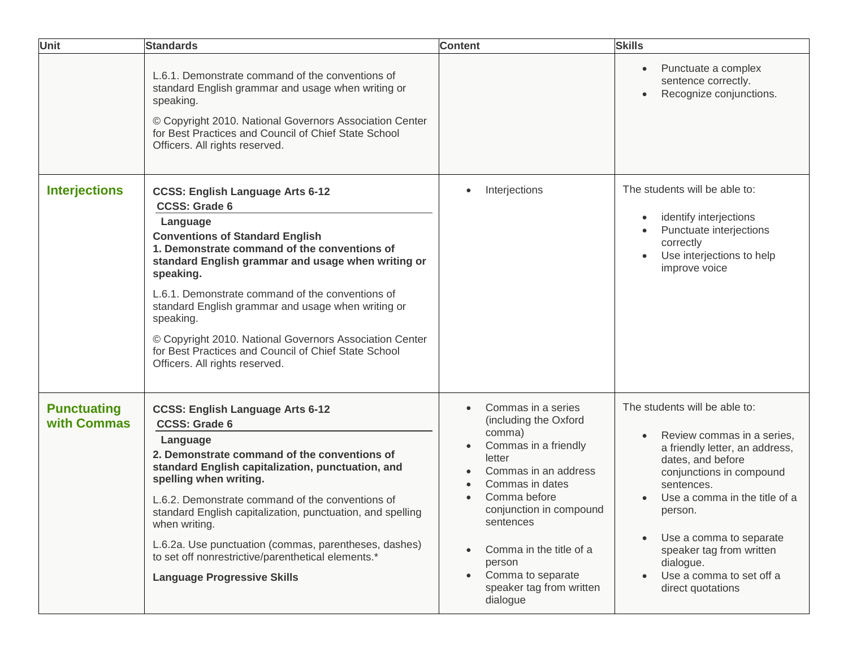| <b>Unit</b>                       | <b>Standards</b>                                                                                                                                                                                                                                                                                                                                                                                                                                                                                                     | <b>Content</b>                                                                                                                                                                                                                                                                                                                                                | <b>Skills</b>                                                                                                                                                                                                                                                                                                                                           |
|-----------------------------------|----------------------------------------------------------------------------------------------------------------------------------------------------------------------------------------------------------------------------------------------------------------------------------------------------------------------------------------------------------------------------------------------------------------------------------------------------------------------------------------------------------------------|---------------------------------------------------------------------------------------------------------------------------------------------------------------------------------------------------------------------------------------------------------------------------------------------------------------------------------------------------------------|---------------------------------------------------------------------------------------------------------------------------------------------------------------------------------------------------------------------------------------------------------------------------------------------------------------------------------------------------------|
|                                   | L.6.1. Demonstrate command of the conventions of<br>standard English grammar and usage when writing or<br>speaking.<br>© Copyright 2010. National Governors Association Center<br>for Best Practices and Council of Chief State School<br>Officers. All rights reserved.                                                                                                                                                                                                                                             |                                                                                                                                                                                                                                                                                                                                                               | Punctuate a complex<br>$\bullet$<br>sentence correctly.<br>Recognize conjunctions.<br>$\bullet$                                                                                                                                                                                                                                                         |
| <b>Interjections</b>              | <b>CCSS: English Language Arts 6-12</b><br><b>CCSS: Grade 6</b><br>Language<br><b>Conventions of Standard English</b><br>1. Demonstrate command of the conventions of<br>standard English grammar and usage when writing or<br>speaking.<br>L.6.1. Demonstrate command of the conventions of<br>standard English grammar and usage when writing or<br>speaking.<br>© Copyright 2010. National Governors Association Center<br>for Best Practices and Council of Chief State School<br>Officers. All rights reserved. | Interjections<br>$\bullet$                                                                                                                                                                                                                                                                                                                                    | The students will be able to:<br>identify interjections<br>$\bullet$<br>Punctuate interjections<br>correctly<br>Use interjections to help<br>$\bullet$<br>improve voice                                                                                                                                                                                 |
| <b>Punctuating</b><br>with Commas | <b>CCSS: English Language Arts 6-12</b><br><b>CCSS: Grade 6</b><br>Language<br>2. Demonstrate command of the conventions of<br>standard English capitalization, punctuation, and<br>spelling when writing.<br>L.6.2. Demonstrate command of the conventions of<br>standard English capitalization, punctuation, and spelling<br>when writing.<br>L.6.2a. Use punctuation (commas, parentheses, dashes)<br>to set off nonrestrictive/parenthetical elements.*<br><b>Language Progressive Skills</b>                   | Commas in a series<br>$\bullet$<br>(including the Oxford<br>comma)<br>Commas in a friendly<br>$\bullet$<br>letter<br>Commas in an address<br>Commas in dates<br>$\bullet$<br>Comma before<br>conjunction in compound<br>sentences<br>Comma in the title of a<br>$\bullet$<br>person<br>Comma to separate<br>$\bullet$<br>speaker tag from written<br>dialogue | The students will be able to:<br>Review commas in a series,<br>a friendly letter, an address,<br>dates, and before<br>conjunctions in compound<br>sentences.<br>Use a comma in the title of a<br>person.<br>Use a comma to separate<br>$\bullet$<br>speaker tag from written<br>dialogue.<br>Use a comma to set off a<br>$\bullet$<br>direct quotations |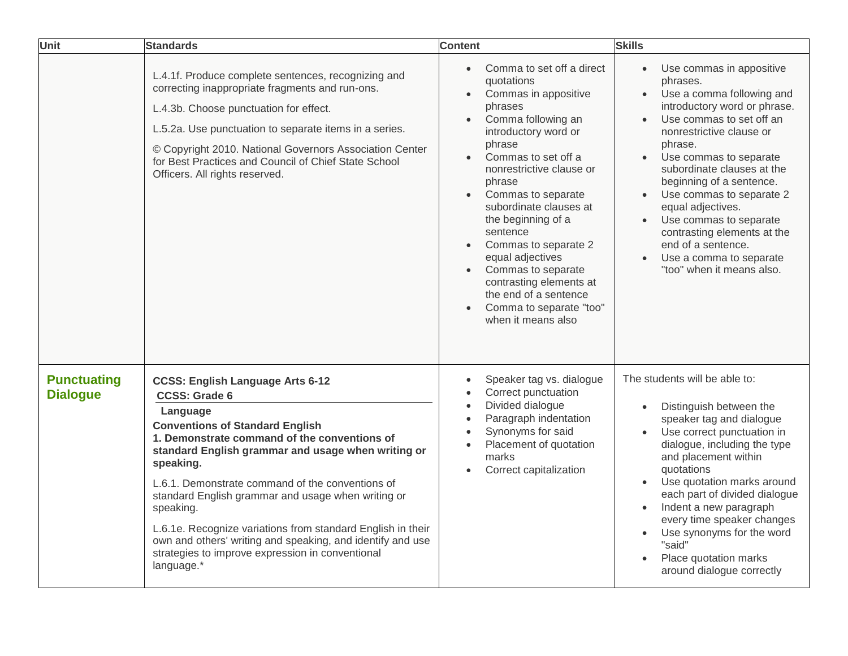| <b>Unit</b>                           | <b>Standards</b>                                                                                                                                                                                                                                                                                                                                                                                                                                                                                                                                               | <b>Content</b>                                                                                                                                                                                                                                                                                                                                                                                                                                                                                  | <b>Skills</b>                                                                                                                                                                                                                                                                                                                                                                                                                                                                           |
|---------------------------------------|----------------------------------------------------------------------------------------------------------------------------------------------------------------------------------------------------------------------------------------------------------------------------------------------------------------------------------------------------------------------------------------------------------------------------------------------------------------------------------------------------------------------------------------------------------------|-------------------------------------------------------------------------------------------------------------------------------------------------------------------------------------------------------------------------------------------------------------------------------------------------------------------------------------------------------------------------------------------------------------------------------------------------------------------------------------------------|-----------------------------------------------------------------------------------------------------------------------------------------------------------------------------------------------------------------------------------------------------------------------------------------------------------------------------------------------------------------------------------------------------------------------------------------------------------------------------------------|
|                                       | L.4.1f. Produce complete sentences, recognizing and<br>correcting inappropriate fragments and run-ons.<br>L.4.3b. Choose punctuation for effect.<br>L.5.2a. Use punctuation to separate items in a series.<br>© Copyright 2010. National Governors Association Center<br>for Best Practices and Council of Chief State School<br>Officers. All rights reserved.                                                                                                                                                                                                | Comma to set off a direct<br>$\bullet$<br>quotations<br>Commas in appositive<br>phrases<br>Comma following an<br>$\bullet$<br>introductory word or<br>phrase<br>Commas to set off a<br>nonrestrictive clause or<br>phrase<br>Commas to separate<br>$\bullet$<br>subordinate clauses at<br>the beginning of a<br>sentence<br>Commas to separate 2<br>equal adjectives<br>Commas to separate<br>contrasting elements at<br>the end of a sentence<br>Comma to separate "too"<br>when it means also | Use commas in appositive<br>$\bullet$<br>phrases.<br>Use a comma following and<br>$\bullet$<br>introductory word or phrase.<br>Use commas to set off an<br>nonrestrictive clause or<br>phrase.<br>Use commas to separate<br>subordinate clauses at the<br>beginning of a sentence.<br>Use commas to separate 2<br>equal adjectives.<br>Use commas to separate<br>$\bullet$<br>contrasting elements at the<br>end of a sentence.<br>Use a comma to separate<br>"too" when it means also. |
| <b>Punctuating</b><br><b>Dialogue</b> | <b>CCSS: English Language Arts 6-12</b><br><b>CCSS: Grade 6</b><br>Language<br><b>Conventions of Standard English</b><br>1. Demonstrate command of the conventions of<br>standard English grammar and usage when writing or<br>speaking.<br>L.6.1. Demonstrate command of the conventions of<br>standard English grammar and usage when writing or<br>speaking.<br>L.6.1e. Recognize variations from standard English in their<br>own and others' writing and speaking, and identify and use<br>strategies to improve expression in conventional<br>language.* | Speaker tag vs. dialogue<br>$\bullet$<br>Correct punctuation<br>Divided dialogue<br>$\bullet$<br>Paragraph indentation<br>$\bullet$<br>Synonyms for said<br>Placement of quotation<br>marks<br>Correct capitalization<br>$\bullet$                                                                                                                                                                                                                                                              | The students will be able to:<br>Distinguish between the<br>speaker tag and dialogue<br>Use correct punctuation in<br>dialogue, including the type<br>and placement within<br>quotations<br>Use quotation marks around<br>$\bullet$<br>each part of divided dialogue<br>Indent a new paragraph<br>every time speaker changes<br>Use synonyms for the word<br>"said"<br>Place quotation marks<br>around dialogue correctly                                                               |